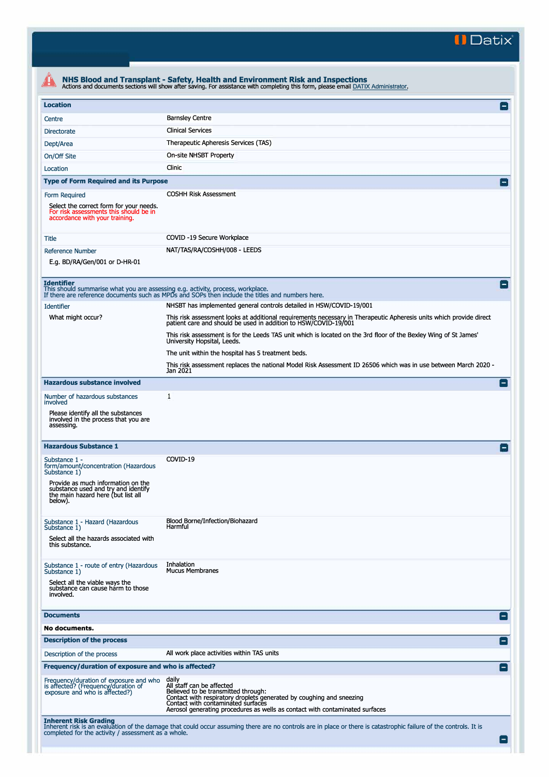**II Datix"** 

| <b>Location</b><br>Centre<br><b>Directorate</b><br>Dept/Area<br>On/Off Site<br>Location<br><b>Type of Form Required and its Purpose</b><br>Form Required | <b>Barnsley Centre</b><br><b>Clinical Services</b><br>Therapeutic Apheresis Services (TAS)<br>On-site NHSBT Property<br>Clinic                                                             | $\Box$          |
|----------------------------------------------------------------------------------------------------------------------------------------------------------|--------------------------------------------------------------------------------------------------------------------------------------------------------------------------------------------|-----------------|
|                                                                                                                                                          |                                                                                                                                                                                            |                 |
|                                                                                                                                                          |                                                                                                                                                                                            |                 |
|                                                                                                                                                          |                                                                                                                                                                                            |                 |
|                                                                                                                                                          |                                                                                                                                                                                            |                 |
|                                                                                                                                                          |                                                                                                                                                                                            |                 |
|                                                                                                                                                          |                                                                                                                                                                                            |                 |
|                                                                                                                                                          |                                                                                                                                                                                            |                 |
| Select the correct form for your needs.<br>For risk assessments this should be in<br>accordance with your training.                                      | <b>COSHH Risk Assessment</b>                                                                                                                                                               |                 |
| Title                                                                                                                                                    | COVID-19 Secure Workplace                                                                                                                                                                  |                 |
| <b>Reference Number</b>                                                                                                                                  | NAT/TAS/RA/COSHH/008 - LEEDS                                                                                                                                                               |                 |
| E.g. BD/RA/Gen/001 or D-HR-01                                                                                                                            |                                                                                                                                                                                            |                 |
|                                                                                                                                                          |                                                                                                                                                                                            |                 |
| <b>Identifier</b><br>This should summarise what you are assessing e.g. activity, process, workplace.                                                     |                                                                                                                                                                                            |                 |
|                                                                                                                                                          | If there are reference documents such as MPDs and SOPs then include the titles and numbers here.                                                                                           |                 |
| <b>Identifier</b>                                                                                                                                        | NHSBT has implemented general controls detailed in HSW/COVID-19/001                                                                                                                        |                 |
| What might occur?                                                                                                                                        | This risk assessment looks at additional requirements necessary in Therapeutic Apheresis units which provide direct<br>patient care and should be used in addition to HSW/COVID-19/001     |                 |
|                                                                                                                                                          | This risk assessment is for the Leeds TAS unit which is located on the 3rd floor of the Bexley Wing of St James'<br>University Hopsital, Leeds.                                            |                 |
|                                                                                                                                                          | The unit within the hospital has 5 treatment beds.                                                                                                                                         |                 |
|                                                                                                                                                          | This risk assessment replaces the national Model Risk Assessment ID 26506 which was in use between March 2020 -<br>Jan 2021                                                                |                 |
| <b>Hazardous substance involved</b>                                                                                                                      |                                                                                                                                                                                            |                 |
| Number of hazardous substances<br>involved                                                                                                               | 1                                                                                                                                                                                          |                 |
| Please identify all the substances<br>involved in the process that you are<br>assessing.                                                                 |                                                                                                                                                                                            |                 |
| <b>Hazardous Substance 1</b>                                                                                                                             |                                                                                                                                                                                            |                 |
| Substance 1 -<br>form/amount/concentration (Hazardous<br>Substance 1)                                                                                    | COVID-19                                                                                                                                                                                   |                 |
| Provide as much information on the<br>substance used and try and identify<br>the main hazard here (but list all<br>below).                               |                                                                                                                                                                                            |                 |
| Substance 1 - Hazard (Hazardous<br>Substance 1)                                                                                                          | Blood Borne/Infection/Biohazard<br>Harmful                                                                                                                                                 |                 |
| Select all the hazards associated with<br>this substance.                                                                                                |                                                                                                                                                                                            |                 |
| Substance 1 - route of entry (Hazardous                                                                                                                  | Inhalation                                                                                                                                                                                 |                 |
| Substance 1)<br>Select all the viable ways the<br>substance can cause harm to those<br>involved.                                                         | <b>Mucus Membranes</b>                                                                                                                                                                     |                 |
|                                                                                                                                                          |                                                                                                                                                                                            |                 |
| <b>Documents</b>                                                                                                                                         |                                                                                                                                                                                            | $\vert - \vert$ |
| No documents.                                                                                                                                            |                                                                                                                                                                                            |                 |
| <b>Description of the process</b>                                                                                                                        |                                                                                                                                                                                            | E               |
| Description of the process                                                                                                                               | All work place activities within TAS units                                                                                                                                                 |                 |
| Frequency/duration of exposure and who is affected?                                                                                                      |                                                                                                                                                                                            | E               |
| Frequency/duration of exposure and who<br>is affected? (Frequency/duration of<br>exposure and who is affected?)                                          | daily<br>All staff can be affected<br>Believed to be transmitted through:                                                                                                                  |                 |
|                                                                                                                                                          | Contact with respiratory droplets generated by coughing and sneezing<br>Contact with contaminated surfaces<br>Aerosol generating procedures as wells as contact with contaminated surfaces |                 |
| <b>Inherent Risk Grading</b>                                                                                                                             |                                                                                                                                                                                            |                 |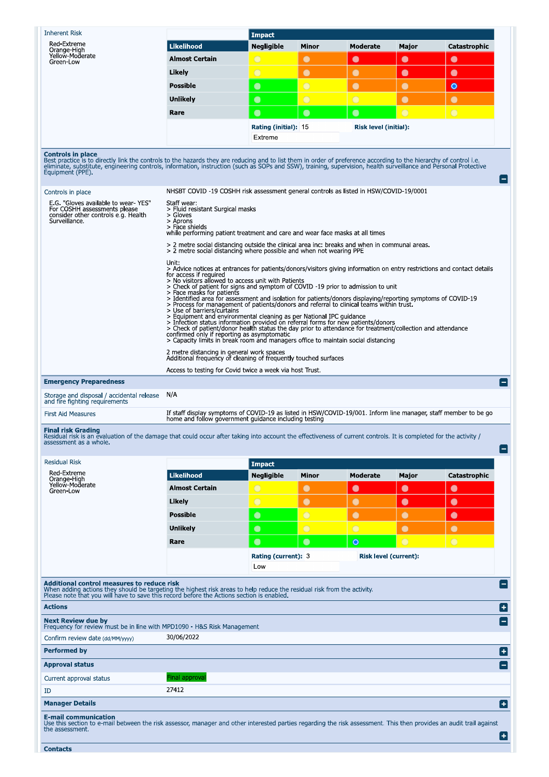| <b>Inherent Risk</b>                                                                                                                                                                                                                                                                                                                                                                   |                                                                                                                                                                                                                                                                                                                                                                                                                                                                                                                                                                                                                                                                                                                                                                                                                                                                                                                                                                                           | <b>Impact</b>              |                       |                       |                              |              |                          |  |  |
|----------------------------------------------------------------------------------------------------------------------------------------------------------------------------------------------------------------------------------------------------------------------------------------------------------------------------------------------------------------------------------------|-------------------------------------------------------------------------------------------------------------------------------------------------------------------------------------------------------------------------------------------------------------------------------------------------------------------------------------------------------------------------------------------------------------------------------------------------------------------------------------------------------------------------------------------------------------------------------------------------------------------------------------------------------------------------------------------------------------------------------------------------------------------------------------------------------------------------------------------------------------------------------------------------------------------------------------------------------------------------------------------|----------------------------|-----------------------|-----------------------|------------------------------|--------------|--------------------------|--|--|
| Red-Extreme<br>Orange High                                                                                                                                                                                                                                                                                                                                                             | <b>Likelihood</b>                                                                                                                                                                                                                                                                                                                                                                                                                                                                                                                                                                                                                                                                                                                                                                                                                                                                                                                                                                         | Negligible                 | Minor                 | Moderate              | Major                        | Catastrophic |                          |  |  |
| Yellow-Moderate<br>Green-Low                                                                                                                                                                                                                                                                                                                                                           | Almost Certain                                                                                                                                                                                                                                                                                                                                                                                                                                                                                                                                                                                                                                                                                                                                                                                                                                                                                                                                                                            | $\bigcirc$                 | $\bullet$             | $\bullet$             | $\bullet$                    | $\bullet$    |                          |  |  |
|                                                                                                                                                                                                                                                                                                                                                                                        | Likely                                                                                                                                                                                                                                                                                                                                                                                                                                                                                                                                                                                                                                                                                                                                                                                                                                                                                                                                                                                    | $\overline{O}$             | $\bullet$             | $\bullet$             | $\bullet$                    | $\bullet$    |                          |  |  |
|                                                                                                                                                                                                                                                                                                                                                                                        | Possible                                                                                                                                                                                                                                                                                                                                                                                                                                                                                                                                                                                                                                                                                                                                                                                                                                                                                                                                                                                  | $\bullet$                  | $\overline{O}$        | $\bullet$             | $\bullet$                    | $\bullet$    |                          |  |  |
|                                                                                                                                                                                                                                                                                                                                                                                        | Unlikely                                                                                                                                                                                                                                                                                                                                                                                                                                                                                                                                                                                                                                                                                                                                                                                                                                                                                                                                                                                  | $\bullet$                  | $\overline{O}$        | $\bigcirc$            | $\bullet$                    | $\bullet$    |                          |  |  |
|                                                                                                                                                                                                                                                                                                                                                                                        | Rare                                                                                                                                                                                                                                                                                                                                                                                                                                                                                                                                                                                                                                                                                                                                                                                                                                                                                                                                                                                      | $\bullet$                  | $\bullet$             | $\bullet$             | $\bigcirc$                   | $\bigcirc$   |                          |  |  |
|                                                                                                                                                                                                                                                                                                                                                                                        |                                                                                                                                                                                                                                                                                                                                                                                                                                                                                                                                                                                                                                                                                                                                                                                                                                                                                                                                                                                           |                            |                       |                       |                              |              |                          |  |  |
|                                                                                                                                                                                                                                                                                                                                                                                        | <b>Risk level (initial):</b><br><b>Rating (initial): 15</b><br>Extreme                                                                                                                                                                                                                                                                                                                                                                                                                                                                                                                                                                                                                                                                                                                                                                                                                                                                                                                    |                            |                       |                       |                              |              |                          |  |  |
|                                                                                                                                                                                                                                                                                                                                                                                        |                                                                                                                                                                                                                                                                                                                                                                                                                                                                                                                                                                                                                                                                                                                                                                                                                                                                                                                                                                                           |                            |                       |                       |                              |              |                          |  |  |
| <b>Controls in place</b><br>Best practice is to directly link the controls to the hazards they are reducing and to list them in order of preference according to the hierarchy of control i.e.<br>eliminate, substitute, engineering controls, information, instruction (such as SOPs and SSW), training, supervision, health surveillance and Personal Protective<br>Equipment (PPE). |                                                                                                                                                                                                                                                                                                                                                                                                                                                                                                                                                                                                                                                                                                                                                                                                                                                                                                                                                                                           |                            |                       |                       |                              |              | $\vert - \vert$          |  |  |
| Controls in place                                                                                                                                                                                                                                                                                                                                                                      | NHSBT COVID -19 COSHH risk assessment general controls as listed in HSW/COVID-19/0001                                                                                                                                                                                                                                                                                                                                                                                                                                                                                                                                                                                                                                                                                                                                                                                                                                                                                                     |                            |                       |                       |                              |              |                          |  |  |
| E.G. "Gloves available to wear-YES"<br>For COSHH assessments please<br>consider other controls e.g. Health<br>Surveillance.                                                                                                                                                                                                                                                            | Staff wear:<br>> Fluid resistant Surgical masks<br>> Gloves<br>> Aprons<br>> Face shields<br>while performing patient treatment and care and wear face masks at all times                                                                                                                                                                                                                                                                                                                                                                                                                                                                                                                                                                                                                                                                                                                                                                                                                 |                            |                       |                       |                              |              |                          |  |  |
|                                                                                                                                                                                                                                                                                                                                                                                        | > 2 metre social distancing outside the clinical area inc: breaks and when in communal areas.<br>> 2 metre social distancing where possible and when not wearing PPE                                                                                                                                                                                                                                                                                                                                                                                                                                                                                                                                                                                                                                                                                                                                                                                                                      |                            |                       |                       |                              |              |                          |  |  |
|                                                                                                                                                                                                                                                                                                                                                                                        | Unit:<br>> Advice notices at entrances for patients/donors/visitors giving information on entry restrictions and contact details<br>for access if required<br>> No visitors allowed to access unit with Patients<br>> Check of patient for signs and symptom of COVID -19 prior to admission to unit<br>> Face masks for patients<br>> Identified area for assessment and isolation for patients/donors displaying/reporting symptoms of COVID-19<br>> Process for management of patients/donors and referral to clinical teams within trust.<br>> Use of barriers/curtains<br>> Equipment and environmental cleaning as per National IPC guidance<br>> Infection status information provided on referral forms for new patients/donors<br>> Check of patient/donor health status the day prior to attendance for treatment/collection and attendance<br>confirmed only if reporting as asymptomatic<br>> Capacity limits in break room and managers office to maintain social distancing |                            |                       |                       |                              |              |                          |  |  |
|                                                                                                                                                                                                                                                                                                                                                                                        | 2 metre distancing in general work spaces<br>Additional frequency of cleaning of frequently touched surfaces                                                                                                                                                                                                                                                                                                                                                                                                                                                                                                                                                                                                                                                                                                                                                                                                                                                                              |                            |                       |                       |                              |              |                          |  |  |
|                                                                                                                                                                                                                                                                                                                                                                                        | Access to testing for Covid twice a week via host Trust.                                                                                                                                                                                                                                                                                                                                                                                                                                                                                                                                                                                                                                                                                                                                                                                                                                                                                                                                  |                            |                       |                       |                              |              |                          |  |  |
| <b>Emergency Preparedness</b>                                                                                                                                                                                                                                                                                                                                                          |                                                                                                                                                                                                                                                                                                                                                                                                                                                                                                                                                                                                                                                                                                                                                                                                                                                                                                                                                                                           |                            |                       |                       |                              |              | $\blacksquare$           |  |  |
| Storage and disposal / accidental release<br>and fire fighting requirements                                                                                                                                                                                                                                                                                                            | N/A                                                                                                                                                                                                                                                                                                                                                                                                                                                                                                                                                                                                                                                                                                                                                                                                                                                                                                                                                                                       |                            |                       |                       |                              |              |                          |  |  |
| <b>First Aid Measures</b>                                                                                                                                                                                                                                                                                                                                                              | If staff display symptoms of COVID-19 as listed in HSW/COVID-19/001. Inform line manager, staff member to be go<br>home and follow government guidance including testing                                                                                                                                                                                                                                                                                                                                                                                                                                                                                                                                                                                                                                                                                                                                                                                                                  |                            |                       |                       |                              |              |                          |  |  |
| <b>Final risk Grading</b><br>Residual risk is an evaluation of the damage that could occur after taking into account the effectiveness of current controls. It is completed for the activity /<br>assessment as a whole.                                                                                                                                                               |                                                                                                                                                                                                                                                                                                                                                                                                                                                                                                                                                                                                                                                                                                                                                                                                                                                                                                                                                                                           |                            |                       |                       |                              |              | ÷                        |  |  |
| <b>Residual Risk</b>                                                                                                                                                                                                                                                                                                                                                                   |                                                                                                                                                                                                                                                                                                                                                                                                                                                                                                                                                                                                                                                                                                                                                                                                                                                                                                                                                                                           | <b>Impact</b>              |                       |                       |                              |              |                          |  |  |
| Red-Extreme<br>Orange-High<br>Yellow-Moderate                                                                                                                                                                                                                                                                                                                                          | <b>Likelihood</b>                                                                                                                                                                                                                                                                                                                                                                                                                                                                                                                                                                                                                                                                                                                                                                                                                                                                                                                                                                         | Negligible                 | Minor                 | <b>Moderate</b>       | Major                        | Catastrophic |                          |  |  |
| Green-Low                                                                                                                                                                                                                                                                                                                                                                              | <b>Almost Certain</b>                                                                                                                                                                                                                                                                                                                                                                                                                                                                                                                                                                                                                                                                                                                                                                                                                                                                                                                                                                     | $\bigcirc$                 | $\bullet$             | $\bullet$             | $\bullet$                    | $\bullet$    |                          |  |  |
|                                                                                                                                                                                                                                                                                                                                                                                        | Likely                                                                                                                                                                                                                                                                                                                                                                                                                                                                                                                                                                                                                                                                                                                                                                                                                                                                                                                                                                                    | $\overline{O}$             | $\bullet$             | $\bullet$             | $\bullet$                    | $\bullet$    |                          |  |  |
|                                                                                                                                                                                                                                                                                                                                                                                        | <b>Possible</b>                                                                                                                                                                                                                                                                                                                                                                                                                                                                                                                                                                                                                                                                                                                                                                                                                                                                                                                                                                           | $\bullet$                  | $\overline{O}$        | $\bullet$             | $\bullet$                    | $\bullet$    |                          |  |  |
|                                                                                                                                                                                                                                                                                                                                                                                        | <b>Unlikely</b>                                                                                                                                                                                                                                                                                                                                                                                                                                                                                                                                                                                                                                                                                                                                                                                                                                                                                                                                                                           | $\bullet$                  | $\overline{\bigcirc}$ | $\overline{\bigcirc}$ | $\bullet$                    | $\bullet$    |                          |  |  |
|                                                                                                                                                                                                                                                                                                                                                                                        | Rare                                                                                                                                                                                                                                                                                                                                                                                                                                                                                                                                                                                                                                                                                                                                                                                                                                                                                                                                                                                      | $\bullet$                  | $\bullet$             | $\circ$               | $\bigcirc$                   | $\bigcirc$   |                          |  |  |
|                                                                                                                                                                                                                                                                                                                                                                                        |                                                                                                                                                                                                                                                                                                                                                                                                                                                                                                                                                                                                                                                                                                                                                                                                                                                                                                                                                                                           | Rating (current): 3<br>Low |                       |                       | <b>Risk level (current):</b> |              |                          |  |  |
| <b>Additional control measures to reduce risk</b><br>When adding actions they should be targeting the highest risk areas to help reduce the residual risk from the activity.<br>Please note that you will have to save this record before the Actions section is enabled.                                                                                                              |                                                                                                                                                                                                                                                                                                                                                                                                                                                                                                                                                                                                                                                                                                                                                                                                                                                                                                                                                                                           |                            |                       |                       |                              |              |                          |  |  |
| <b>Actions</b>                                                                                                                                                                                                                                                                                                                                                                         |                                                                                                                                                                                                                                                                                                                                                                                                                                                                                                                                                                                                                                                                                                                                                                                                                                                                                                                                                                                           |                            |                       |                       |                              |              | ٨                        |  |  |
| <b>Next Review due by</b><br>Frequency for review must be in line with MPD1090 - H&S Risk Management                                                                                                                                                                                                                                                                                   |                                                                                                                                                                                                                                                                                                                                                                                                                                                                                                                                                                                                                                                                                                                                                                                                                                                                                                                                                                                           |                            |                       |                       |                              |              | E                        |  |  |
| Confirm review date (dd/MM/yyyy)                                                                                                                                                                                                                                                                                                                                                       | 30/06/2022                                                                                                                                                                                                                                                                                                                                                                                                                                                                                                                                                                                                                                                                                                                                                                                                                                                                                                                                                                                |                            |                       |                       |                              |              |                          |  |  |
| <b>Performed by</b>                                                                                                                                                                                                                                                                                                                                                                    |                                                                                                                                                                                                                                                                                                                                                                                                                                                                                                                                                                                                                                                                                                                                                                                                                                                                                                                                                                                           |                            |                       |                       |                              |              | ٨                        |  |  |
| <b>Approval status</b>                                                                                                                                                                                                                                                                                                                                                                 |                                                                                                                                                                                                                                                                                                                                                                                                                                                                                                                                                                                                                                                                                                                                                                                                                                                                                                                                                                                           |                            |                       |                       |                              |              | $\left  - \right $       |  |  |
| Current approval status                                                                                                                                                                                                                                                                                                                                                                | Final approval                                                                                                                                                                                                                                                                                                                                                                                                                                                                                                                                                                                                                                                                                                                                                                                                                                                                                                                                                                            |                            |                       |                       |                              |              |                          |  |  |
| ID                                                                                                                                                                                                                                                                                                                                                                                     | 27412                                                                                                                                                                                                                                                                                                                                                                                                                                                                                                                                                                                                                                                                                                                                                                                                                                                                                                                                                                                     |                            |                       |                       |                              |              |                          |  |  |
| <b>Manager Details</b>                                                                                                                                                                                                                                                                                                                                                                 |                                                                                                                                                                                                                                                                                                                                                                                                                                                                                                                                                                                                                                                                                                                                                                                                                                                                                                                                                                                           |                            |                       |                       |                              |              | $\left[\text{+}\right]$  |  |  |
| <b>E-mail communication</b><br>Use this section to e-mail between the risk assessor, manager and other interested parties regarding the risk assessment. This then provides an audit trail against<br>the assessment.                                                                                                                                                                  |                                                                                                                                                                                                                                                                                                                                                                                                                                                                                                                                                                                                                                                                                                                                                                                                                                                                                                                                                                                           |                            |                       |                       |                              |              | $\vert \textbf{+} \vert$ |  |  |
| Contacts                                                                                                                                                                                                                                                                                                                                                                               |                                                                                                                                                                                                                                                                                                                                                                                                                                                                                                                                                                                                                                                                                                                                                                                                                                                                                                                                                                                           |                            |                       |                       |                              |              |                          |  |  |